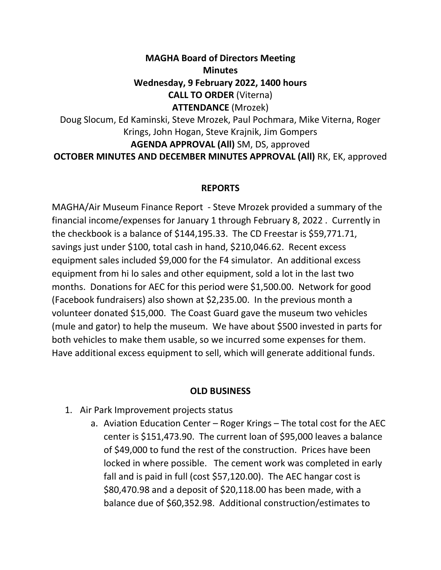## **MAGHA Board of Directors Meeting Minutes Wednesday, 9 February 2022, 1400 hours CALL TO ORDER** (Viterna) **ATTENDANCE** (Mrozek) Doug Slocum, Ed Kaminski, Steve Mrozek, Paul Pochmara, Mike Viterna, Roger

Krings, John Hogan, Steve Krajnik, Jim Gompers **AGENDA APPROVAL (All)** SM, DS, approved **OCTOBER MINUTES AND DECEMBER MINUTES APPROVAL (All)** RK, EK, approved

## **REPORTS**

MAGHA/Air Museum Finance Report - Steve Mrozek provided a summary of the financial income/expenses for January 1 through February 8, 2022 . Currently in the checkbook is a balance of \$144,195.33. The CD Freestar is \$59,771.71, savings just under \$100, total cash in hand, \$210,046.62. Recent excess equipment sales included \$9,000 for the F4 simulator. An additional excess equipment from hi lo sales and other equipment, sold a lot in the last two months. Donations for AEC for this period were \$1,500.00. Network for good (Facebook fundraisers) also shown at \$2,235.00. In the previous month a volunteer donated \$15,000. The Coast Guard gave the museum two vehicles (mule and gator) to help the museum. We have about \$500 invested in parts for both vehicles to make them usable, so we incurred some expenses for them. Have additional excess equipment to sell, which will generate additional funds.

## **OLD BUSINESS**

- 1. Air Park Improvement projects status
	- a. Aviation Education Center Roger Krings The total cost for the AEC center is \$151,473.90. The current loan of \$95,000 leaves a balance of \$49,000 to fund the rest of the construction. Prices have been locked in where possible. The cement work was completed in early fall and is paid in full (cost \$57,120.00). The AEC hangar cost is \$80,470.98 and a deposit of \$20,118.00 has been made, with a balance due of \$60,352.98. Additional construction/estimates to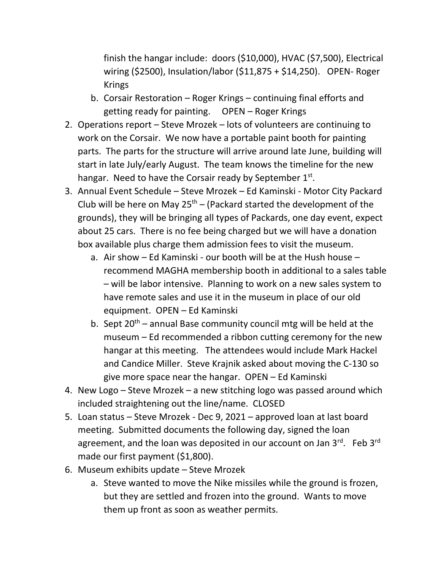finish the hangar include: doors (\$10,000), HVAC (\$7,500), Electrical wiring (\$2500), Insulation/labor (\$11,875 + \$14,250). OPEN- Roger Krings

- b. Corsair Restoration Roger Krings continuing final efforts and getting ready for painting. OPEN – Roger Krings
- 2. Operations report Steve Mrozek lots of volunteers are continuing to work on the Corsair. We now have a portable paint booth for painting parts. The parts for the structure will arrive around late June, building will start in late July/early August. The team knows the timeline for the new hangar. Need to have the Corsair ready by September 1st.
- 3. Annual Event Schedule Steve Mrozek Ed Kaminski Motor City Packard Club will be here on May  $25<sup>th</sup>$  – (Packard started the development of the grounds), they will be bringing all types of Packards, one day event, expect about 25 cars. There is no fee being charged but we will have a donation box available plus charge them admission fees to visit the museum.
	- a. Air show Ed Kaminski our booth will be at the Hush house recommend MAGHA membership booth in additional to a sales table – will be labor intensive. Planning to work on a new sales system to have remote sales and use it in the museum in place of our old equipment. OPEN – Ed Kaminski
	- b. Sept  $20^{th}$  annual Base community council mtg will be held at the museum – Ed recommended a ribbon cutting ceremony for the new hangar at this meeting. The attendees would include Mark Hackel and Candice Miller. Steve Krajnik asked about moving the C-130 so give more space near the hangar. OPEN – Ed Kaminski
- 4. New Logo Steve Mrozek a new stitching logo was passed around which included straightening out the line/name. CLOSED
- 5. Loan status Steve Mrozek Dec 9, 2021 approved loan at last board meeting. Submitted documents the following day, signed the loan agreement, and the loan was deposited in our account on Jan 3rd. Feb 3rd made our first payment (\$1,800).
- 6. Museum exhibits update Steve Mrozek
	- a. Steve wanted to move the Nike missiles while the ground is frozen, but they are settled and frozen into the ground. Wants to move them up front as soon as weather permits.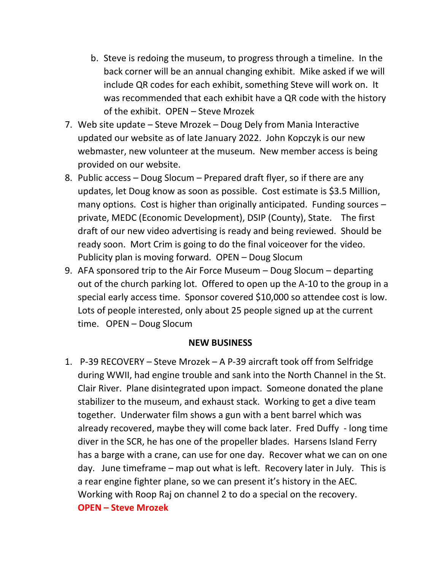- b. Steve is redoing the museum, to progress through a timeline. In the back corner will be an annual changing exhibit. Mike asked if we will include QR codes for each exhibit, something Steve will work on. It was recommended that each exhibit have a QR code with the history of the exhibit. OPEN – Steve Mrozek
- 7. Web site update Steve Mrozek Doug Dely from Mania Interactive updated our website as of late January 2022. John Kopczyk is our new webmaster, new volunteer at the museum. New member access is being provided on our website.
- 8. Public access Doug Slocum Prepared draft flyer, so if there are any updates, let Doug know as soon as possible. Cost estimate is \$3.5 Million, many options. Cost is higher than originally anticipated. Funding sources – private, MEDC (Economic Development), DSIP (County), State. The first draft of our new video advertising is ready and being reviewed. Should be ready soon. Mort Crim is going to do the final voiceover for the video. Publicity plan is moving forward. OPEN – Doug Slocum
- 9. AFA sponsored trip to the Air Force Museum Doug Slocum departing out of the church parking lot. Offered to open up the A-10 to the group in a special early access time. Sponsor covered \$10,000 so attendee cost is low. Lots of people interested, only about 25 people signed up at the current time. OPEN – Doug Slocum

## **NEW BUSINESS**

1. P-39 RECOVERY – Steve Mrozek – A P-39 aircraft took off from Selfridge during WWII, had engine trouble and sank into the North Channel in the St. Clair River. Plane disintegrated upon impact. Someone donated the plane stabilizer to the museum, and exhaust stack. Working to get a dive team together. Underwater film shows a gun with a bent barrel which was already recovered, maybe they will come back later. Fred Duffy - long time diver in the SCR, he has one of the propeller blades. Harsens Island Ferry has a barge with a crane, can use for one day. Recover what we can on one day. June timeframe – map out what is left. Recovery later in July. This is a rear engine fighter plane, so we can present it's history in the AEC. Working with Roop Raj on channel 2 to do a special on the recovery. **OPEN – Steve Mrozek**